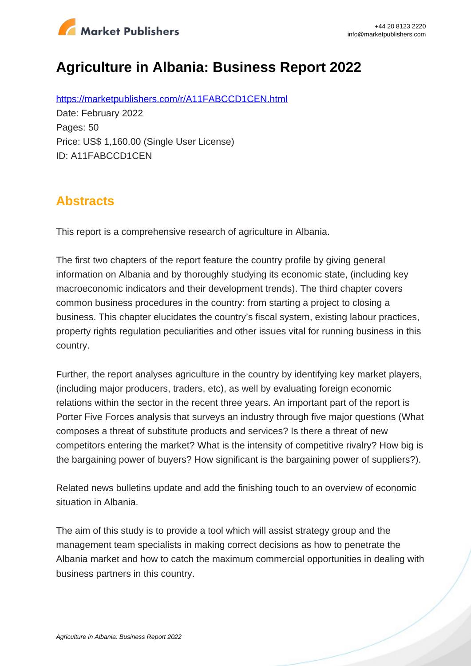

# **Agriculture in Albania: Business Report 2022**

https://marketpublishers.com/r/A11FABCCD1CEN.html Date: February 2022 Pages: 50 Price: US\$ 1,160.00 (Single User License) ID: A11FABCCD1CEN

## **Abstracts**

This report is a comprehensive research of agriculture in Albania.

The first two chapters of the report feature the country profile by giving general information on Albania and by thoroughly studying its economic state, (including key macroeconomic indicators and their development trends). The third chapter covers common business procedures in the country: from starting a project to closing a business. This chapter elucidates the country's fiscal system, existing labour practices, property rights regulation peculiarities and other issues vital for running business in this country.

Further, the report analyses agriculture in the country by identifying key market players, (including major producers, traders, etc), as well by evaluating foreign economic relations within the sector in the recent three years. An important part of the report is Porter Five Forces analysis that surveys an industry through five major questions (What composes a threat of substitute products and services? Is there a threat of new competitors entering the market? What is the intensity of competitive rivalry? How big is the bargaining power of buyers? How significant is the bargaining power of suppliers?).

Related news bulletins update and add the finishing touch to an overview of economic situation in Albania.

The aim of this study is to provide a tool which will assist strategy group and the management team specialists in making correct decisions as how to penetrate the Albania market and how to catch the maximum commercial opportunities in dealing with business partners in this country.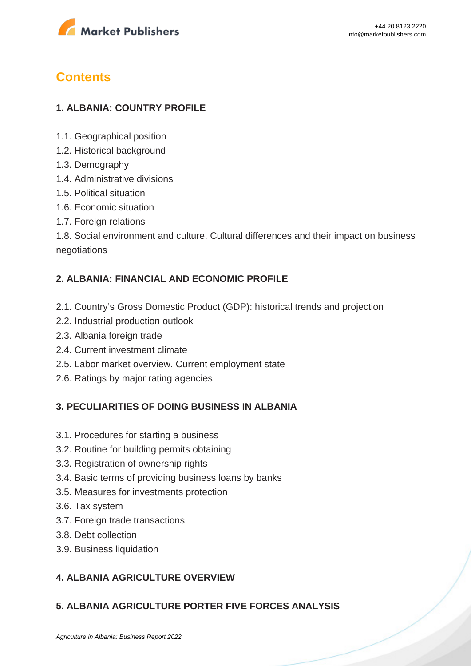

## **Contents**

## **1. ALBANIA: COUNTRY PROFILE**

- 1.1. Geographical position
- 1.2. Historical background
- 1.3. Demography
- 1.4. Administrative divisions
- 1.5. Political situation
- 1.6. Economic situation
- 1.7. Foreign relations

1.8. Social environment and culture. Cultural differences and their impact on business negotiations

#### **2. ALBANIA: FINANCIAL AND ECONOMIC PROFILE**

- 2.1. Country's Gross Domestic Product (GDP): historical trends and projection
- 2.2. Industrial production outlook
- 2.3. Albania foreign trade
- 2.4. Current investment climate
- 2.5. Labor market overview. Current employment state
- 2.6. Ratings by major rating agencies

#### **3. PECULIARITIES OF DOING BUSINESS IN ALBANIA**

- 3.1. Procedures for starting a business
- 3.2. Routine for building permits obtaining
- 3.3. Registration of ownership rights
- 3.4. Basic terms of providing business loans by banks
- 3.5. Measures for investments protection
- 3.6. Tax system
- 3.7. Foreign trade transactions
- 3.8. Debt collection
- 3.9. Business liquidation

### **4. ALBANIA AGRICULTURE OVERVIEW**

### **5. ALBANIA AGRICULTURE PORTER FIVE FORCES ANALYSIS**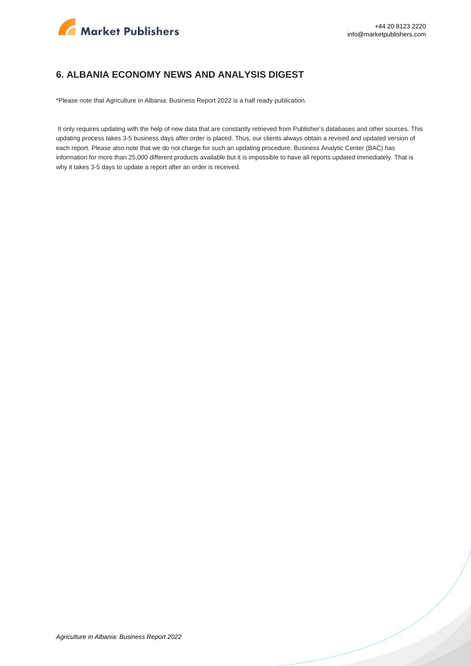

#### **6. ALBANIA ECONOMY NEWS AND ANALYSIS DIGEST**

\*Please note that Agriculture in Albania: Business Report 2022 is a half ready publication.

 It only requires updating with the help of new data that are constantly retrieved from Publisher's databases and other sources. This updating process takes 3-5 business days after order is placed. Thus, our clients always obtain a revised and updated version of each report. Please also note that we do not charge for such an updating procedure. Business Analytic Center (BAC) has information for more than 25,000 different products available but it is impossible to have all reports updated immediately. That is why it takes 3-5 days to update a report after an order is received.